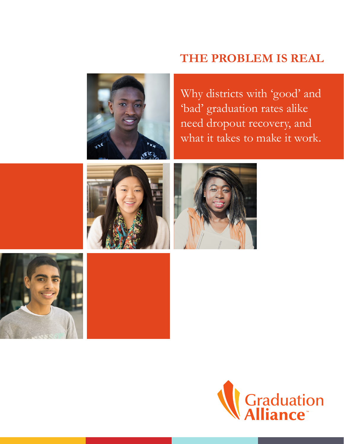# **THE PROBLEM IS REAL**



Why districts with 'good' and 'bad' graduation rates alike need dropout recovery, and what it takes to make it work.







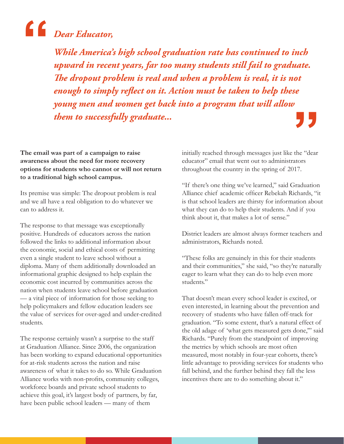# *Dear Educator,*  **"**

*While America's high school graduation rate has continued to inch upward in recent years, far too many students still fail to graduate. The dropout problem is real and when a problem is real, it is not enough to simply reflect on it. Action must be taken to help these young men and women get back into a program that will allow them to successfully graduate...* **"**

**The email was part of a campaign to raise awareness about the need for more recovery options for students who cannot or will not return to a traditional high school campus.** 

Its premise was simple: The dropout problem is real and we all have a real obligation to do whatever we can to address it.

The response to that message was exceptionally positive. Hundreds of educators across the nation followed the links to additional information about the economic, social and ethical costs of permitting even a single student to leave school without a diploma. Many of them additionally downloaded an informational graphic designed to help explain the economic cost incurred by communities across the nation when students leave school before graduation — a vital piece of information for those seeking to help policymakers and fellow education leaders see the value of services for over-aged and under-credited students.

The response certainly wasn't a surprise to the staff at Graduation Alliance. Since 2006, the organization has been working to expand educational opportunities for at-risk students across the nation and raise awareness of what it takes to do so. While Graduation Alliance works with non-profits, community colleges, workforce boards and private school students to achieve this goal, it's largest body of partners, by far, have been public school leaders — many of them

initially reached through messages just like the "dear educator" email that went out to administrators throughout the country in the spring of 2017.

"If there's one thing we've learned," said Graduation Alliance chief academic officer Rebekah Richards, "it is that school leaders are thirsty for information about what they can do to help their students. And if you think about it, that makes a lot of sense."

District leaders are almost always former teachers and administrators, Richards noted.

"These folks are genuinely in this for their students and their communities," she said, "so they're naturally eager to learn what they can do to help even more students."

That doesn't mean every school leader is excited, or even interested, in learning about the prevention and recovery of students who have fallen off-track for graduation. "To some extent, that's a natural effect of the old adage of 'what gets measured gets done,'" said Richards. "Purely from the standpoint of improving the metrics by which schools are most often measured, most notably in four-year cohorts, there's little advantage to providing services for students who fall behind, and the further behind they fall the less incentives there are to do something about it."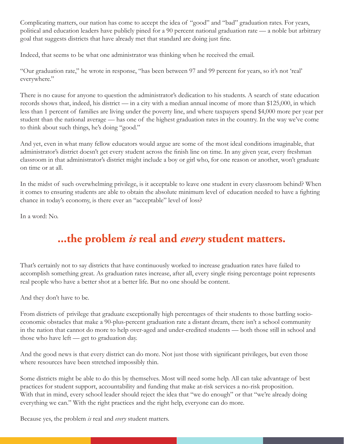Complicating matters, our nation has come to accept the idea of "good" and "bad" graduation rates. For years, political and education leaders have publicly pined for a 90 percent national graduation rate — a noble but arbitrary goal that suggests districts that have already met that standard are doing just fine.

Indeed, that seems to be what one administrator was thinking when he received the email.

"Our graduation rate," he wrote in response, "has been between 97 and 99 percent for years, so it's not 'real' everywhere."

There is no cause for anyone to question the administrator's dedication to his students. A search of state education records shows that, indeed, his district — in a city with a median annual income of more than \$125,000, in which less than 1 percent of families are living under the poverty line, and where taxpayers spend \$4,000 more per year per student than the national average — has one of the highest graduation rates in the country. In the way we've come to think about such things, he's doing "good."

And yet, even in what many fellow educators would argue are some of the most ideal conditions imaginable, that administrator's district doesn't get every student across the finish line on time. In any given year, every freshman classroom in that administrator's district might include a boy or girl who, for one reason or another, won't graduate on time or at all.

In the midst of such overwhelming privilege, is it acceptable to leave one student in every classroom behind? When it comes to ensuring students are able to obtain the absolute minimum level of education needed to have a fighting chance in today's economy, is there ever an "acceptable" level of loss?

In a word: No.

# **...the problem** *is* **real and** *every* **student matters.**

That's certainly not to say districts that have continuously worked to increase graduation rates have failed to accomplish something great. As graduation rates increase, after all, every single rising percentage point represents real people who have a better shot at a better life. But no one should be content.

And they don't have to be.

From districts of privilege that graduate exceptionally high percentages of their students to those battling socioeconomic obstacles that make a 90-plus-percent graduation rate a distant dream, there isn't a school community in the nation that cannot do more to help over-aged and under-credited students — both those still in school and those who have left — get to graduation day.

And the good news is that every district can do more. Not just those with significant privileges, but even those where resources have been stretched impossibly thin.

Some districts might be able to do this by themselves. Most will need some help. All can take advantage of best practices for student support, accountability and funding that make at-risk services a no-risk proposition. With that in mind, every school leader should reject the idea that "we do enough" or that "we're already doing everything we can." With the right practices and the right help, everyone can do more.

Because yes, the problem *is* real and *every* student matters.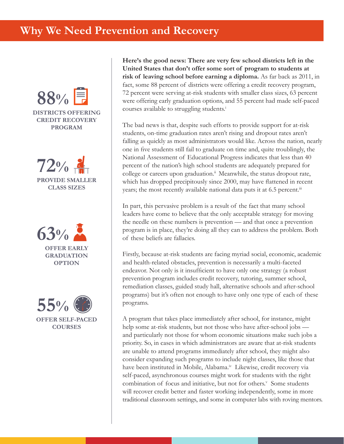







**Here's the good news: There are very few school districts left in the United States that don't offer some sort of program to students at risk of leaving school before earning a diploma.** As far back as 2011, in fact, some 88 percent of districts were offering a credit recovery program, 72 percent were serving at-risk students with smaller class sizes, 63 percent were offering early graduation options, and 55 percent had made self-paced courses available to struggling students.<sup>i</sup>

The bad news is that, despite such efforts to provide support for at-risk students, on-time graduation rates aren't rising and dropout rates aren't falling as quickly as most administrators would like. Across the nation, nearly one in five students still fail to graduate on time and, quite troublingly, the National Assessment of Educational Progress indicates that less than 40 percent of the nation's high school students are adequately prepared for college or careers upon graduation.<sup>ii</sup> Meanwhile, the status dropout rate, which has dropped precipitously since 2000, may have flattened in recent years; the most recently available national data puts it at 6.5 percent.<sup>iii</sup>

In part, this pervasive problem is a result of the fact that many school leaders have come to believe that the only acceptable strategy for moving the needle on these numbers is prevention — and that once a prevention program is in place, they're doing all they can to address the problem. Both of these beliefs are fallacies.

Firstly, because at-risk students are facing myriad social, economic, academic and health-related obstacles, prevention is necessarily a multi-faceted endeavor. Not only is it insufficient to have only one strategy (a robust prevention program includes credit recovery, tutoring, summer school, remediation classes, guided study hall, alternative schools and after-school programs) but it's often not enough to have only one type of each of these programs.

A program that takes place immediately after school, for instance, might help some at-risk students, but not those who have after-school jobs and particularly not those for whom economic situations make such jobs a priority. So, in cases in which administrators are aware that at-risk students are unable to attend programs immediately after school, they might also consider expanding such programs to include night classes, like those that have been instituted in Mobile, Alabama.<sup>iv</sup> Likewise, credit recovery via self-paced, asynchronous courses might work for students with the right combination of focus and initiative, but not for others.<sup>v</sup> Some students will recover credit better and faster working independently, some in more traditional classroom settings, and some in computer labs with roving mentors.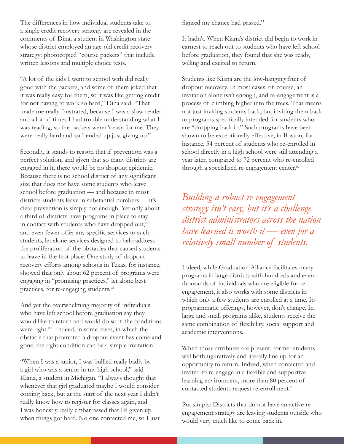The differences in how individual students take to a single credit recovery strategy are revealed in the comments of Dina, a student in Washington state whose district employed an age-old credit recovery strategy: photocopied "course packets" that include written lessons and multiple choice tests.

"A lot of the kids I went to school with did really good with the packets, and some of them joked that it was really easy for them, so it was like getting credit for not having to work so hard," Dina said. "That made me really frustrated, because I was a slow reader and a lot of times I had trouble understanding what I was reading, so the packets weren't easy for me. They were really hard and so I ended up just giving up."

Secondly, it stands to reason that if prevention was a perfect solution, and given that so many districts are engaged in it, there would be no dropout epidemic. Because there is no school district of any significant size that does not have some students who leave school before graduation — and because in most districts students leave in substantial numbers — it's clear prevention is simply not enough. Yet only about a third of districts have programs in place to stay in contact with students who have dropped out,<sup>vi</sup> and even fewer offer any specific services to such students, let alone services designed to help address the proliferation of the obstacles that caused students to leave in the first place. One study of dropout recovery efforts among schools in Texas, for instance, showed that only about 62 percent of programs were engaging in "promising practices," let alone best practices, for re-engaging students.<sup>vii</sup>

And yet the overwhelming majority of individuals who have left school before graduation say they would like to return and would do so if the conditions were right.<sup>viii</sup> Indeed, in some cases, in which the obstacle that prompted a dropout event has come and gone, the right condition can be a simple invitation.

"When I was a junior, I was bullied really badly by a girl who was a senior in my high school," said Kiana, a student in Michigan. "I always thought that whenever that girl graduated maybe I would consider coming back, but at the start of the next year I didn't really know how to register for classes again, and I was honestly really embarrassed that I'd given up when things got hard. No one contacted me, so I just figured my chance had passed."

It hadn't. When Kiana's district did begin to work in earnest to reach out to students who have left school before graduation, they found that she was ready, willing and excited to return.

Students like Kiana are the low-hanging fruit of dropout recovery. In most cases, of course, an invitation alone isn't enough, and re-engagement is a process of climbing higher into the trees. That means not just inviting students back, but inviting them back to programs specifically intended for students who are "dropping back in." Such programs have been shown to be exceptionally effective; in Boston, for instance, 54 percent of students who re-enrolled in school directly in a high school were still attending a year later, compared to 72 percent who re-enrolled through a specialized re-engagement center.ix

*Building a robust re-engagement strategy isn't easy, but it's a challenge district administrators across the nation have learned is worth it — even for a relatively small number of students.*

Indeed, while Graduation Alliance facilitates many programs in large districts with hundreds and even thousands of individuals who are eligible for reengagement, it also works with some districts in which only a few students are enrolled at a time. Its programmatic offerings, however, don't change. In large and small programs alike, students receive the same combination of flexibility, social support and academic interventions.

When those attributes are present, former students will both figuratively and literally line up for an opportunity to return. Indeed, when contacted and invited to re-engage in a flexible and supportive learning environment, more than 80 percent of contacted students request re-enrollment.<sup>x</sup>

Put simply: Districts that do not have an active reengagement strategy are leaving students outside who would very much like to come back in.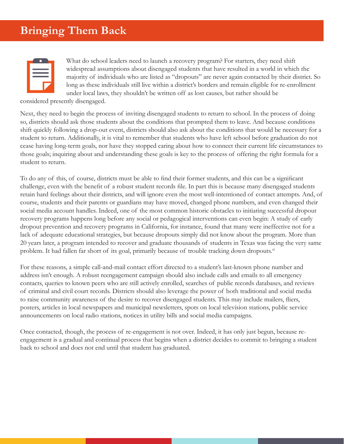# **Bringing Them Back**

What do school leaders need to launch a recovery program? For starters, they need shift widespread assumptions about disengaged students that have resulted in a world in which the majority of individuals who are listed as "dropouts" are never again contacted by their district. So long as these individuals still live within a district's borders and remain eligible for re-enrollment under local laws, they shouldn't be written off as lost causes, but rather should be

considered presently disengaged.

Next, they need to begin the process of inviting disengaged students to return to school. In the process of doing so, districts should ask those students about the conditions that prompted them to leave. And because conditions shift quickly following a drop-out event, districts should also ask about the conditions that would be necessary for a student to return. Additionally, it is vital to remember that students who have left school before graduation do not cease having long-term goals, nor have they stopped caring about how to connect their current life circumstances to those goals; inquiring about and understanding these goals is key to the process of offering the right formula for a student to return.

To do any of this, of course, districts must be able to find their former students, and this can be a significant challenge, even with the benefit of a robust student records file. In part this is because many disengaged students retain hard feelings about their districts, and will ignore even the most well-intentioned of contact attempts. And, of course, students and their parents or guardians may have moved, changed phone numbers, and even changed their social media account handles. Indeed, one of the most common historic obstacles to initiating successful dropout recovery programs happens long before any social or pedagogical interventions can even begin: A study of early dropout prevention and recovery programs in California, for instance, found that many were ineffective not for a lack of adequate educational strategies, but because dropouts simply did not know about the program. More than 20 years later, a program intended to recover and graduate thousands of students in Texas was facing the very same problem. It had fallen far short of its goal, primarily because of trouble tracking down dropouts.<sup>xi</sup>

For these reasons, a simple call-and-mail contact effort directed to a student's last-known phone number and address isn't enough. A robust reengagement campaign should also include calls and emails to all emergency contacts, queries to known peers who are still actively enrolled, searches of public records databases, and reviews of criminal and civil court records. Districts should also leverage the power of both traditional and social media to raise community awareness of the desire to recover disengaged students. This may include mailers, fliers, posters, articles in local newspapers and municipal newsletters, spots on local television stations, public service announcements on local radio stations, notices in utility bills and social media campaigns.

Once contacted, though, the process of re-engagement is not over. Indeed, it has only just begun, because reengagement is a gradual and continual process that begins when a district decides to commit to bringing a student back to school and does not end until that student has graduated.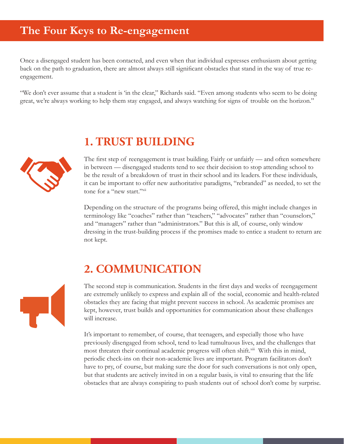#### **The Four Keys to Re-engagement**

Once a disengaged student has been contacted, and even when that individual expresses enthusiasm about getting back on the path to graduation, there are almost always still significant obstacles that stand in the way of true reengagement.

"We don't ever assume that a student is 'in the clear," Richards said. "Even among students who seem to be doing great, we're always working to help them stay engaged, and always watching for signs of trouble on the horizon."



# **1. TRUST BUILDING**

The first step of reengagement is trust building. Fairly or unfairly — and often somewhere in between — disengaged students tend to see their decision to stop attending school to be the result of a breakdown of trust in their school and its leaders. For these individuals, it can be important to offer new authoritative paradigms, "rebranded" as needed, to set the tone for a "new start."<sup>xii</sup>

Depending on the structure of the programs being offered, this might include changes in terminology like "coaches" rather than "teachers," "advocates" rather than "counselors," and "managers" rather than "administrators." But this is all, of course, only window dressing in the trust-building process if the promises made to entice a student to return are not kept.

## **2. COMMUNICATION**

The second step is communication. Students in the first days and weeks of reengagement are extremely unlikely to express and explain all of the social, economic and health-related obstacles they are facing that might prevent success in school. As academic promises are kept, however, trust builds and opportunities for communication about these challenges will increase.

It's important to remember, of course, that teenagers, and especially those who have previously disengaged from school, tend to lead tumultuous lives, and the challenges that most threaten their continual academic progress will often shift.<sup>xii</sup> With this in mind, periodic check-ins on their non-academic lives are important. Program facilitators don't have to pry, of course, but making sure the door for such conversations is not only open, but that students are actively invited in on a regular basis, is vital to ensuring that the life obstacles that are always conspiring to push students out of school don't come by surprise.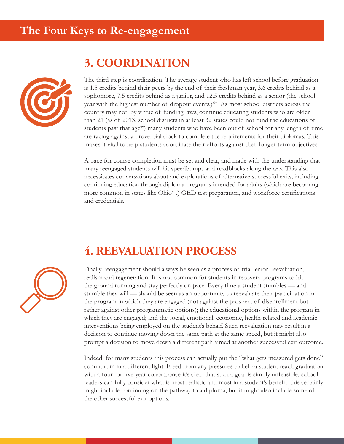

# **3. COORDINATION**

The third step is coordination. The average student who has left school before graduation is 1.5 credits behind their peers by the end of their freshman year, 3.6 credits behind as a sophomore, 7.5 credits behind as a junior, and 12.5 credits behind as a senior (the school year with the highest number of dropout events.)<sup>xiv</sup> As most school districts across the country may not, by virtue of funding laws, continue educating students who are older than 21 (as of 2013, school districts in at least 32 states could not fund the educations of students past that age $xy$  many students who have been out of school for any length of time are racing against a proverbial clock to complete the requirements for their diplomas. This makes it vital to help students coordinate their efforts against their longer-term objectives.

A pace for course completion must be set and clear, and made with the understanding that many reengaged students will hit speedbumps and roadblocks along the way. This also necessitates conversations about and explorations of alternative successful exits, including continuing education through diploma programs intended for adults (which are becoming more common in states like Ohio<sup>xvi</sup>.) GED test preparation, and workforce certifications and credentials.

#### **4. REEVALUATION PROCESS**



Finally, reengagement should always be seen as a process of trial, error, reevaluation, realism and regeneration. It is not common for students in recovery programs to hit the ground running and stay perfectly on pace. Every time a student stumbles — and stumble they will — should be seen as an opportunity to reevaluate their participation in the program in which they are engaged (not against the prospect of disenrollment but rather against other programmatic options); the educational options within the program in which they are engaged; and the social, emotional, economic, health-related and academic interventions being employed on the student's behalf. Such reevaluation may result in a decision to continue moving down the same path at the same speed, but it might also prompt a decision to move down a different path aimed at another successful exit outcome.

Indeed, for many students this process can actually put the "what gets measured gets done" conundrum in a different light. Freed from any pressures to help a student reach graduation with a four- or five-year cohort, once it's clear that such a goal is simply unfeasible, school leaders can fully consider what is most realistic and most in a student's benefit; this certainly might include continuing on the pathway to a diploma, but it might also include some of the other successful exit options.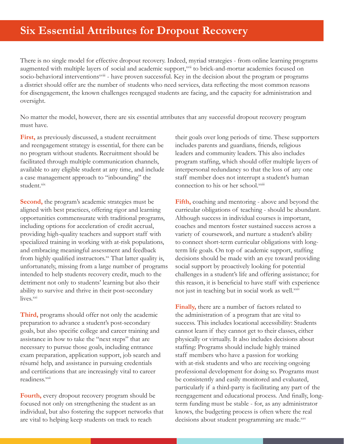#### **Six Essential Attributes for Dropout Recovery**

There is no single model for effective dropout recovery. Indeed, myriad strategies - from online learning programs augmented with multiple layers of social and academic support,<sup>xvii</sup> to brick-and-mortar academies focused on socio-behavioral interventions<sup>xviii</sup> - have proven successful. Key in the decision about the program or programs a district should offer are the number of students who need services, data reflecting the most common reasons for disengagement, the known challenges reengaged students are facing, and the capacity for administration and oversight.

No matter the model, however, there are six essential attributes that any successful dropout recovery program must have.

**First,** as previously discussed, a student recruitment and reengagement strategy is essential, for there can be no program without students. Recruitment should be facilitated through multiple communication channels, available to any eligible student at any time, and include a case management approach to "inbounding" the student.xix

**Second,** the program's academic strategies must be aligned with best practices, offering rigor and learning opportunities commensurate with traditional programs, including options for acceleration of credit accrual, providing high-quality teachers and support staff with specialized training in working with at-risk populations, and embracing meaningful assessment and feedback from highly qualified instructors. $x^2$  That latter quality is, unfortunately, missing from a large number of programs intended to help students recovery credit, much to the detriment not only to students' learning but also their ability to survive and thrive in their post-secondary lives.xxi

**Third,** programs should offer not only the academic preparation to advance a student's post-secondary goals, but also specific college and career training and assistance in how to take the "next steps" that are necessary to pursue those goals, including entrance exam preparation, application support, job search and résumé help, and assistance in pursuing credentials and certifications that are increasingly vital to career readiness.<sup>xxii</sup>

**Fourth,** every dropout recovery program should be focused not only on strengthening the student as an individual, but also fostering the support networks that are vital to helping keep students on track to reach

their goals over long periods of time. These supporters includes parents and guardians, friends, religious leaders and community leaders. This also includes program staffing, which should offer multiple layers of interpersonal redundancy so that the loss of any one staff member does not interrupt a student's human connection to his or her school.<sup>xxiii</sup>

**Fifth,** coaching and mentoring - above and beyond the curricular obligations of teaching - should be abundant. Although success in individual courses is important, coaches and mentors foster sustained success across a variety of coursework, and nurture a student's ability to connect short-term curricular obligations with longterm life goals. On top of academic support, staffing decisions should be made with an eye toward providing social support by proactively looking for potential challenges in a student's life and offering assistance; for this reason, it is beneficial to have staff with experience not just in teaching but in social work as well.<sup>xxiv</sup>

**Finally,** there are a number of factors related to the administration of a program that are vital to success. This includes locational accessibility: Students cannot learn if they cannot get to their classes, either physically or virtually. It also includes decisions about staffing: Programs should include highly trained staff members who have a passion for working with at-risk students and who are receiving ongoing professional development for doing so. Programs must be consistently and easily monitored and evaluated, particularly if a third-party is facilitating any part of the reengagement and educational process. And finally, longterm funding must be stable - for, as any administrator knows, the budgeting process is often where the real decisions about student programming are made.xxv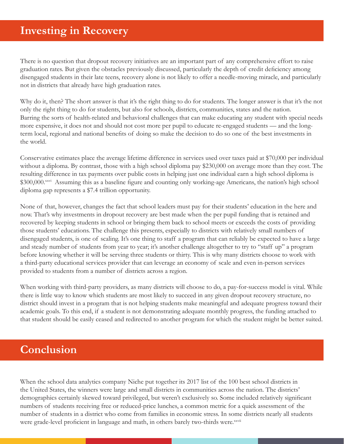#### **Investing in Recovery**

There is no question that dropout recovery initiatives are an important part of any comprehensive effort to raise graduation rates. But given the obstacles previously discussed, particularly the depth of credit deficiency among disengaged students in their late teens, recovery alone is not likely to offer a needle-moving miracle, and particularly not in districts that already have high graduation rates.

Why do it, then? The short answer is that it's the right thing to do for students. The longer answer is that it's the not only the right thing to do for students, but also for schools, districts, communities, states and the nation. Barring the sorts of health-related and behavioral challenges that can make educating any student with special needs more expensive, it does not and should not cost more per pupil to educate re-engaged students — and the longterm local, regional and national benefits of doing so make the decision to do so one of the best investments in the world.

Conservative estimates place the average lifetime difference in services used over taxes paid at \$70,000 per individual without a diploma. By contrast, those with a high school diploma pay \$230,000 on average more than they cost. The resulting difference in tax payments over public costs in helping just one individual earn a high school diploma is \$300,000.<sup>xxvi</sup> Assuming this as a baseline figure and counting only working-age Americans, the nation's high school diploma gap represents a \$7.4 trillion opportunity.

None of that, however, changes the fact that school leaders must pay for their students' education in the here and now. That's why investments in dropout recovery are best made when the per pupil funding that is retained and recovered by keeping students in school or bringing them back to school meets or exceeds the costs of providing those students' educations. The challenge this presents, especially to districts with relatively small numbers of disengaged students, is one of scaling. It's one thing to staff a program that can reliably be expected to have a large and steady number of students from year to year; it's another challenge altogether to try to "staff up" a program before knowing whether it will be serving three students or thirty. This is why many districts choose to work with a third-party educational services provider that can leverage an economy of scale and even in-person services provided to students from a number of districts across a region.

When working with third-party providers, as many districts will choose to do, a pay-for-success model is vital. While there is little way to know which students are most likely to succeed in any given dropout recovery structure, no district should invest in a program that is not helping students make meaningful and adequate progress toward their academic goals. To this end, if a student is not demonstrating adequate monthly progress, the funding attached to that student should be easily ceased and redirected to another program for which the student might be better suited.

#### **Conclusion**

When the school data analytics company Niche put together its 2017 list of the 100 best school districts in the United States, the winners were large and small districts in communities across the nation. The districts' demographics certainly skewed toward privileged, but weren't exclusively so. Some included relatively significant numbers of students receiving free or reduced-price lunches, a common metric for a quick assessment of the number of students in a district who come from families in economic stress. In some districts nearly all students were grade-level proficient in language and math, in others barely two-thirds were.<sup>xxvii</sup>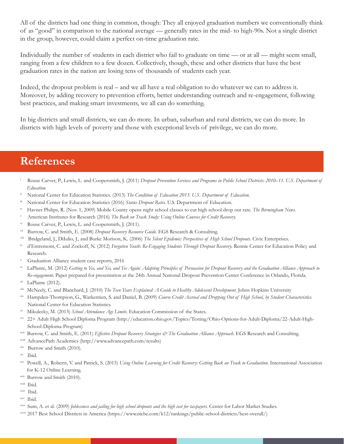All of the districts had one thing in common, though: They all enjoyed graduation numbers we conventionally think of as "good" in comparison to the national average — generally rates in the mid- to high-90s. Not a single district in the group, however, could claim a perfect on-time graduation rate.

Individually the number of students in each district who fail to graduate on time — or at all — might seem small, ranging from a few children to a few dozen. Collectively, though, these and other districts that have the best graduation rates in the nation are losing tens of thousands of students each year.

Indeed, the dropout problem is real – and we all have a real obligation to do whatever we can to address it. Moreover, by adding recovery to prevention efforts, better understanding outreach and re-engagement, following best practices, and making smart investments, we all can do something.

In big districts and small districts, we can do more. In urban, suburban and rural districts, we can do more. In districts with high levels of poverty and those with exceptional levels of privilege, we can do more.

#### **References**

- i Rouse Carver, P., Lewis, L. and Coopersmith, J. (2011) *Dropout Prevention Services and Programs in Public School Districts: 2010–11. U.S. Department of Education.*
- ii National Center for Education Statistics. (2013) *The Condition of Education 2013. U.S. Department of Education.*
- iii National Center for Education Statistics (2016) *Status Dropout Rates*. U.S. Department of Education.
- iv Havner Philips, R. (Nov. 1, 2009) Mobile County opens night school classes to cut high school drop out rate. *The Birmingham News.*
- <sup>v</sup> American Institutes for Research (2016) *The Back on Track Study: Using Online Courses for Credit Recovery.*
- vi Rouse Carver, P., Lewis, L. and Coopersmith, J. (2011).
- vii Burrow, C. and Smith, E. (2008) *Dropout Recovery Resource Guide.* EGS Research & Consulting.
- Bridgeland, J., DiIulio, J., and Burke Morison, K. (2006) *The Silent Epidemic: Perspectives of High School Dropouts*. Civic Enterprises.
- d'Entremont, C. and Zockoff, N. (2012) *Forgotten Youth: Re-Engaging Students Through Dropout Recovery*. Rennie Center for Education Policy and Research.
- x Graduation Alliance student case reports, 2016
- xi LaPlante, M. (2012) *Getting to Yes, and Yes, and Yes Again: Adapting Principles of Persuasion for Dropout Recovery and the Graduation Alliance Approach to Re-engagement.* Paper prepared for presentation at the 24th Annual National Dropout Prevention Center Conference in Orlando, Florida.
- $xii$  LaPlante (2012).
- xiii McNeely, C. and Blanchard, J. (2010) *The Teen Years Explained: A Guide to Healthy Adolescent Development.* Johns Hopkins University
- xiv Hampden-Thompson, G., Warkentien, S. and Daniel, B. (2009) *Course Credit Accrual and Dropping Out of High School, by Student Characteristics.* National Center for Education Statistics.
- xv Mikulecky, M. (2013) *School Attendance Age Limits.* Education Commission of the States.
- xvi 22+ Adult High School Diploma Program (http://education.ohio.gov/Topics/Testing/Ohio-Options-for-Adult-Diploma/22-Adult-High- School-Diploma-Program)
- xvii Burrow, C. and Smith, E. (2011) *Effective Dropout Recovery Strategies & The Graduation Alliance Approach.* EGS Research and Consulting.
- xviii AdvancePath Academics (http://www.advancepath.com/results)
- xix Burrow and Smith (2010).
- xx Ibid.
- xxi Powell, A., Roberts, V. and Patrick, S. (2015) *Using Online Learning for Credit Recovery: Getting Back on Track to Graduation*. International Association for K-12 Online Learning.
- <sup>xxii</sup> Burrow and Smith (2010).
- xxiii Ibid.
- xxiv Ibid.
- xxv Ibid.
- xxvi Sum, A. et al. (2009) *Joblessness and jailing for high school dropouts and the high cost for taxpayers.* Center for Labor Market Studies.
- xxvii 2017 Best School Districts in America (https://www.niche.com/k12/rankings/public-school-districts/best-overall/)